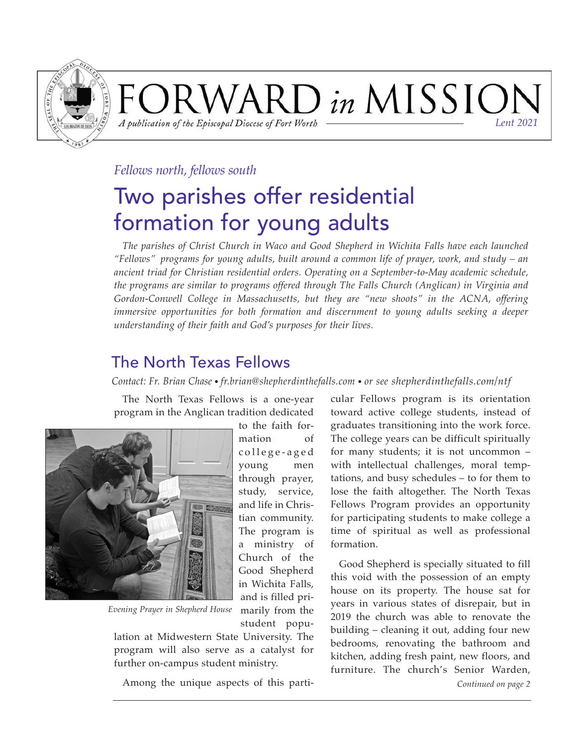

### FORWARD in MISSIOI A publication of the Episcopal Diocese of Fort Worth *Lent 2021*

### *Fellows north, fellows south*

# Two parishes offer residential formation for young adults

*The parishes of Christ Church in Waco and Good Shepherd in Wichita Falls have each launched "Fellows" programs for young adults, built around a common life of prayer, work, and study – an ancient triad for Christian residential orders. Operating on a September-to-May academic schedule, the programs are similar to programs offered through The Falls Church (Anglican) in Virginia and Gordon-Conwell College in Massachusetts, but they are "new shoots" in the ACNA, offering immersive opportunities for both formation and discernment to young adults seeking a deeper understanding of their faith and God's purposes for their lives.* 

## The North Texas Fellows

*Contact: Fr. Brian Chase • fr.brian@shepherdinthefalls.com • or see shepherdinthefalls.com/ntf*

The North Texas Fellows is a one-year program in the Anglican tradition dedicated



*Evening Prayer in Shepherd House*

student population at Midwestern State University. The program will also serve as a catalyst for further on-campus student ministry.

marily from the

Among the unique aspects of this parti-

cular Fellows program is its orientation toward active college students, instead of graduates transitioning into the work force. The college years can be difficult spiritually for many students; it is not uncommon  $$ with intellectual challenges, moral temptations, and busy schedules – to for them to lose the faith altogether. The North Texas Fellows Program provides an opportunity for participating students to make college a time of spiritual as well as professional formation.

Good Shepherd is specially situated to fill this void with the possession of an empty house on its property. The house sat for years in various states of disrepair, but in 2019 the church was able to renovate the building – cleaning it out, adding four new bedrooms, renovating the bathroom and kitchen, adding fresh paint, new floors, and furniture. The church's Senior Warden, *Continued on page 2*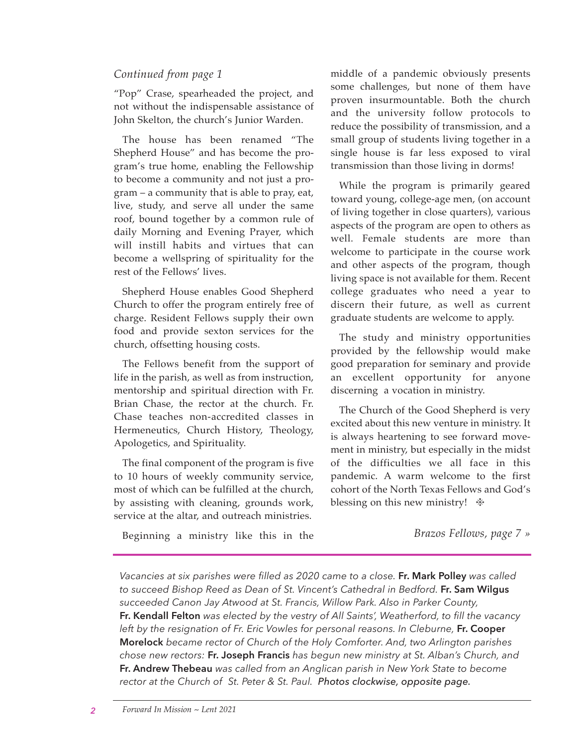#### *Continued from page 1*

"Pop" Crase, spearheaded the project, and not without the indispensable assistance of John Skelton, the church's Junior Warden.

The house has been renamed "The Shepherd House" and has become the program's true home, enabling the Fellowship to become a community and not just a program – a community that is able to pray, eat, live, study, and serve all under the same roof, bound together by a common rule of daily Morning and Evening Prayer, which will instill habits and virtues that can become a wellspring of spirituality for the rest of the Fellows' lives.

Shepherd House enables Good Shepherd Church to offer the program entirely free of charge. Resident Fellows supply their own food and provide sexton services for the church, offsetting housing costs.

The Fellows benefit from the support of life in the parish, as well as from instruction, mentorship and spiritual direction with Fr. Brian Chase, the rector at the church. Fr. Chase teaches non-accredited classes in Hermeneutics, Church History, Theology, Apologetics, and Spirituality.

The final component of the program is five to 10 hours of weekly community service, most of which can be fulfilled at the church, by assisting with cleaning, grounds work, service at the altar, and outreach ministries.

Beginning a ministry like this in the

middle of a pandemic obviously presents some challenges, but none of them have proven insurmountable. Both the church and the university follow protocols to reduce the possibility of transmission, and a small group of students living together in a single house is far less exposed to viral transmission than those living in dorms!

While the program is primarily geared toward young, college-age men, (on account of living together in close quarters), various aspects of the program are open to others as well. Female students are more than welcome to participate in the course work and other aspects of the program, though living space is not available for them. Recent college graduates who need a year to discern their future, as well as current graduate students are welcome to apply.

The study and ministry opportunities provided by the fellowship would make good preparation for seminary and provide an excellent opportunity for anyone discerning a vocation in ministry.

The Church of the Good Shepherd is very excited about this new venture in ministry. It is always heartening to see forward movement in ministry, but especially in the midst of the difficulties we all face in this pandemic. A warm welcome to the first cohort of the North Texas Fellows and God's blessing on this new ministry!  $*$ 

*Brazos Fellows, page 7 »*

*Vacancies at six parishes were filled as 2020 came to a close.* **Fr. Mark Polley** *was called to succeed Bishop Reed as Dean of St. Vincent's Cathedral in Bedford.* **Fr. Sam Wilgus** *succeeded Canon Jay Atwood at St. Francis, Willow Park. Also in Parker County,*  **Fr. Kendall Felton** *was elected by the vestry of All Saints', Weatherford, to fill the vacancy*  left by the resignation of Fr. Eric Vowles for personal reasons. In Cleburne, **Fr. Cooper Morelock** *became rector of Church of the Holy Comforter. And, two Arlington parishes chose new rectors:* **Fr. Joseph Francis** *has begun new ministry at St. Alban's Church, and*  **Fr. Andrew Thebeau** *was called from an Anglican parish in New York State to become rector at the Church of St. Peter & St. Paul. Photos clockwise, opposite page.*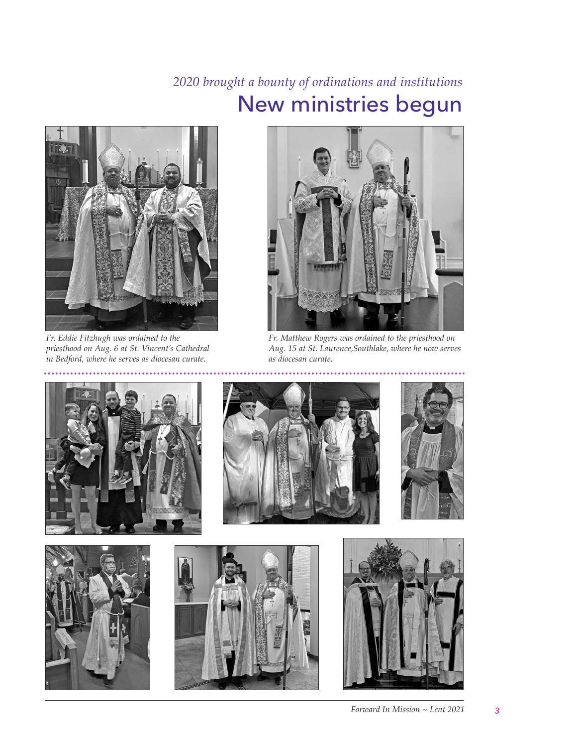## *2020 brought a bounty of ordinations and institutions*  New ministries begun



*Fr. Eddie Fitzhugh was ordained to the priesthood on Aug. 6 at St. Vincent's Cathedral in Bedford, where he serves as diocesan curate.*



*Fr. Matthew Rogers was ordained to the priesthood on Aug. 15 at St. Laurence,Southlake, where he now serves as diocesan curate.*











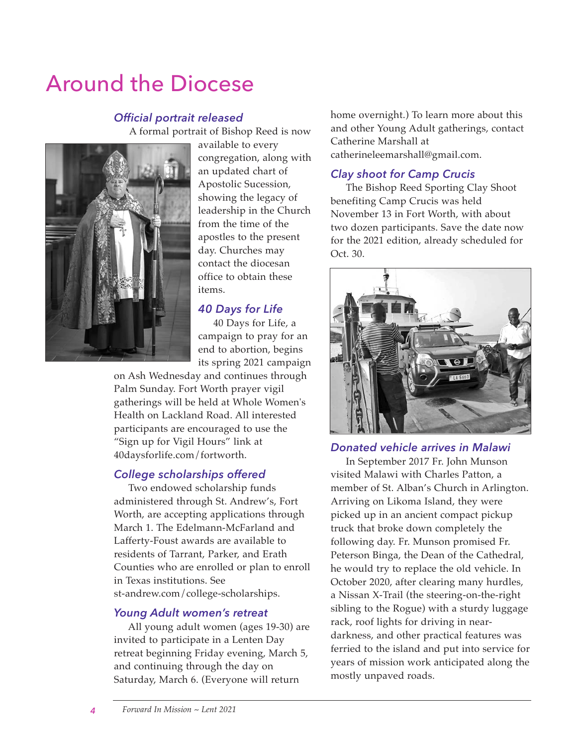# Around the Diocese

#### *Official portrait released*

A formal portrait of Bishop Reed is now



available to every congregation, along with an updated chart of Apostolic Sucession, showing the legacy of leadership in the Church from the time of the apostles to the present day. Churches may contact the diocesan office to obtain these items.

#### *40 Days for Life*

40 Days for Life, a campaign to pray for an end to abortion, begins its spring 2021 campaign

on Ash Wednesday and continues through Palm Sunday. Fort Worth prayer vigil gatherings will be held at Whole Women's Health on Lackland Road. All interested participants are encouraged to use the "Sign up for Vigil Hours" link at 40daysforlife.com/fortworth.

#### *College scholarships offered*

 Two endowed scholarship funds administered through St. Andrew's, Fort Worth, are accepting applications through March 1. The Edelmann-McFarland and Lafferty-Foust awards are available to residents of Tarrant, Parker, and Erath Counties who are enrolled or plan to enroll in Texas institutions. See st-andrew.com/college-scholarships.

#### *Young Adult women's retreat*

 All young adult women (ages 19-30) are invited to participate in a Lenten Day retreat beginning Friday evening, March 5, and continuing through the day on Saturday, March 6. (Everyone will return

home overnight.) To learn more about this and other Young Adult gatherings, contact Catherine Marshall at catherineleemarshall@gmail.com.

#### *Clay shoot for Camp Crucis*

The Bishop Reed Sporting Clay Shoot benefiting Camp Crucis was held November 13 in Fort Worth, with about two dozen participants. Save the date now for the 2021 edition, already scheduled for Oct. 30.



#### *Donated vehicle arrives in Malawi*

In September 2017 Fr. John Munson visited Malawi with Charles Patton, a member of St. Alban's Church in Arlington. Arriving on Likoma Island, they were picked up in an ancient compact pickup truck that broke down completely the following day. Fr. Munson promised Fr. Peterson Binga, the Dean of the Cathedral, he would try to replace the old vehicle. In October 2020, after clearing many hurdles, a Nissan X-Trail (the steering-on-the-right sibling to the Rogue) with a sturdy luggage rack, roof lights for driving in neardarkness, and other practical features was ferried to the island and put into service for years of mission work anticipated along the mostly unpaved roads.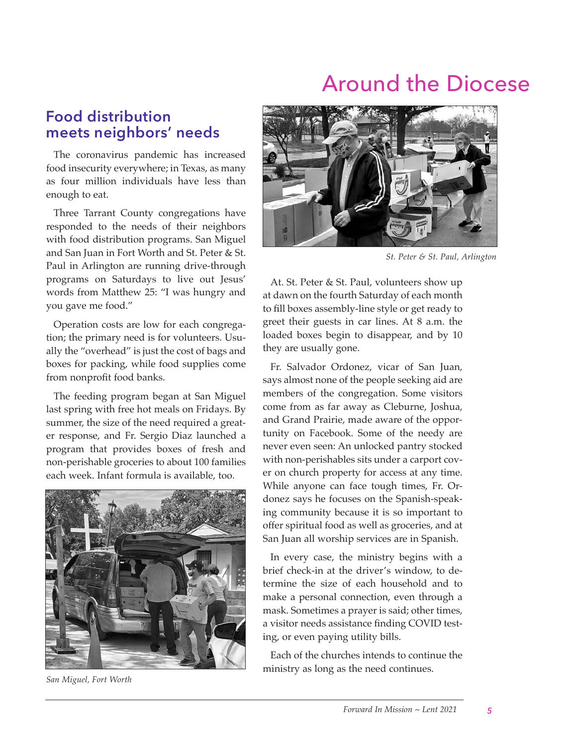## Around the Diocese

### **Food distribution meets neighbors' needs**

The coronavirus pandemic has increased food insecurity everywhere; in Texas, as many as four million individuals have less than enough to eat.

Three Tarrant County congregations have responded to the needs of their neighbors with food distribution programs. San Miguel and San Juan in Fort Worth and St. Peter & St. Paul in Arlington are running drive-through programs on Saturdays to live out Jesus' words from Matthew 25: "I was hungry and you gave me food."

Operation costs are low for each congregation; the primary need is for volunteers. Usually the "overhead" is just the cost of bags and boxes for packing, while food supplies come from nonprofit food banks.

The feeding program began at San Miguel last spring with free hot meals on Fridays. By summer, the size of the need required a greater response, and Fr. Sergio Diaz launched a program that provides boxes of fresh and non-perishable groceries to about 100 families each week. Infant formula is available, too.



*San Miguel, Fort Worth*



*St. Peter & St. Paul, Arlington*

At. St. Peter & St. Paul, volunteers show up at dawn on the fourth Saturday of each month to fill boxes assembly-line style or get ready to greet their guests in car lines. At 8 a.m. the loaded boxes begin to disappear, and by 10 they are usually gone.

Fr. Salvador Ordonez, vicar of San Juan, says almost none of the people seeking aid are members of the congregation. Some visitors come from as far away as Cleburne, Joshua, and Grand Prairie, made aware of the opportunity on Facebook. Some of the needy are never even seen: An unlocked pantry stocked with non-perishables sits under a carport cover on church property for access at any time. While anyone can face tough times, Fr. Ordonez says he focuses on the Spanish-speaking community because it is so important to offer spiritual food as well as groceries, and at San Juan all worship services are in Spanish.

In every case, the ministry begins with a brief check-in at the driver's window, to determine the size of each household and to make a personal connection, even through a mask. Sometimes a prayer is said; other times, a visitor needs assistance finding COVID testing, or even paying utility bills.

Each of the churches intends to continue the ministry as long as the need continues.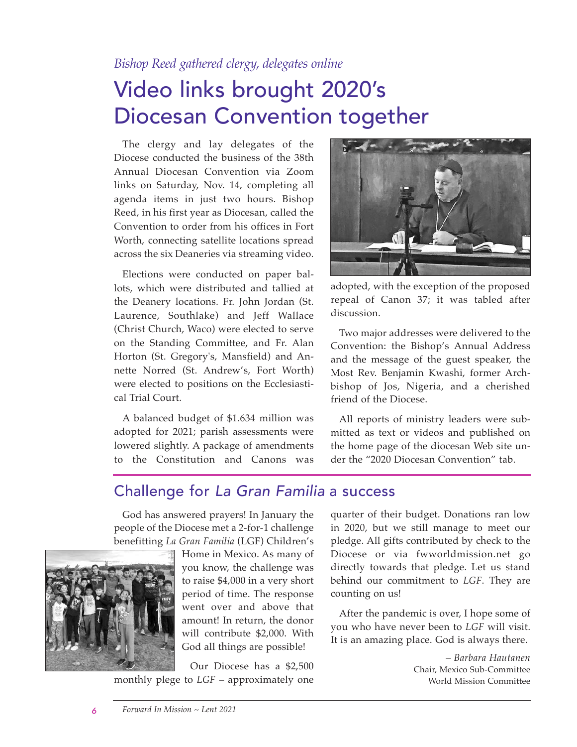### *Bishop Reed gathered clergy, delegates online*

# Video links brought 2020's Diocesan Convention together

The clergy and lay delegates of the Diocese conducted the business of the 38th Annual Diocesan Convention via Zoom links on Saturday, Nov. 14, completing all agenda items in just two hours. Bishop Reed, in his first year as Diocesan, called the Convention to order from his offices in Fort Worth, connecting satellite locations spread across the six Deaneries via streaming video.

Elections were conducted on paper ballots, which were distributed and tallied at the Deanery locations. Fr. John Jordan (St. Laurence, Southlake) and Jeff Wallace (Christ Church, Waco) were elected to serve on the Standing Committee, and Fr. Alan Horton (St. Gregory's, Mansfield) and Annette Norred (St. Andrew's, Fort Worth) were elected to positions on the Ecclesiastical Trial Court.

A balanced budget of \$1.634 million was adopted for 2021; parish assessments were lowered slightly. A package of amendments to the Constitution and Canons was



adopted, with the exception of the proposed repeal of Canon 37; it was tabled after discussion.

Two major addresses were delivered to the Convention: the Bishop's Annual Address and the message of the guest speaker, the Most Rev. Benjamin Kwashi, former Archbishop of Jos, Nigeria, and a cherished friend of the Diocese.

All reports of ministry leaders were submitted as text or videos and published on the home page of the diocesan Web site under the "2020 Diocesan Convention" tab.

### Challenge for *La Gran Familia* a success

God has answered prayers! In January the people of the Diocese met a 2-for-1 challenge benefitting *La Gran Familia* (LGF) Children's



Home in Mexico. As many of you know, the challenge was to raise \$4,000 in a very short period of time. The response went over and above that amount! In return, the donor will contribute \$2,000. With God all things are possible!

Our Diocese has a \$2,500 monthly plege to *LGF* – approximately one

quarter of their budget. Donations ran low in 2020, but we still manage to meet our pledge. All gifts contributed by check to the Diocese or via fwworldmission.net go directly towards that pledge. Let us stand behind our commitment to *LGF*. They are counting on us!

After the pandemic is over, I hope some of you who have never been to *LGF* will visit. It is an amazing place. God is always there.

> *– Barbara Hautanen*  Chair, Mexico Sub-Committee World Mission Committee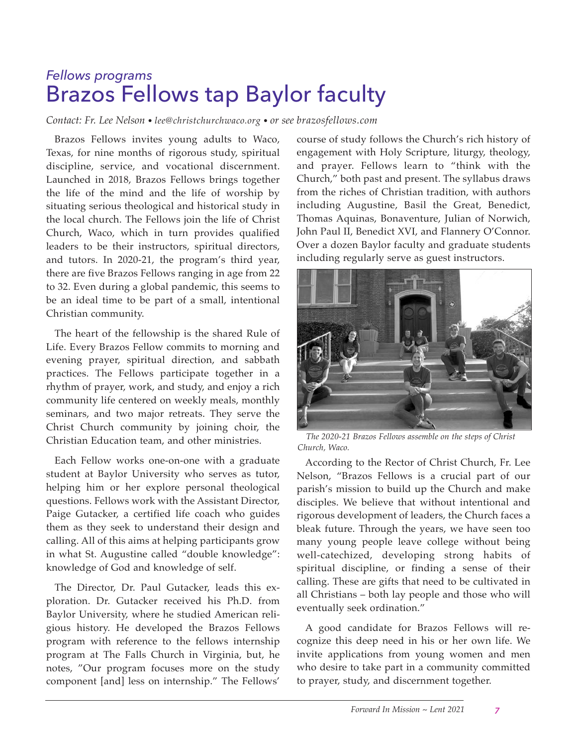## *Fellows programs* Brazos Fellows tap Baylor faculty

*Contact: Fr. Lee Nelson • lee@christchurchwaco.org • or see brazosfellows.com*

Brazos Fellows invites young adults to Waco, Texas, for nine months of rigorous study, spiritual discipline, service, and vocational discernment. Launched in 2018, Brazos Fellows brings together the life of the mind and the life of worship by situating serious theological and historical study in the local church. The Fellows join the life of Christ Church, Waco, which in turn provides qualified leaders to be their instructors, spiritual directors, and tutors. In 2020-21, the program's third year, there are five Brazos Fellows ranging in age from 22 to 32. Even during a global pandemic, this seems to be an ideal time to be part of a small, intentional Christian community.

The heart of the fellowship is the shared Rule of Life. Every Brazos Fellow commits to morning and evening prayer, spiritual direction, and sabbath practices. The Fellows participate together in a rhythm of prayer, work, and study, and enjoy a rich community life centered on weekly meals, monthly seminars, and two major retreats. They serve the Christ Church community by joining choir, the Christian Education team, and other ministries.

Each Fellow works one-on-one with a graduate student at Baylor University who serves as tutor, helping him or her explore personal theological questions. Fellows work with the Assistant Director, Paige Gutacker, a certified life coach who guides them as they seek to understand their design and calling. All of this aims at helping participants grow in what St. Augustine called "double knowledge": knowledge of God and knowledge of self.

The Director, Dr. Paul Gutacker, leads this exploration. Dr. Gutacker received his Ph.D. from Baylor University, where he studied American religious history. He developed the Brazos Fellows program with reference to the fellows internship program at The Falls Church in Virginia, but, he notes, "Our program focuses more on the study component [and] less on internship." The Fellows'

course of study follows the Church's rich history of engagement with Holy Scripture, liturgy, theology, and prayer. Fellows learn to "think with the Church," both past and present. The syllabus draws from the riches of Christian tradition, with authors including Augustine, Basil the Great, Benedict, Thomas Aquinas, Bona venture, Julian of Norwich, John Paul II, Benedict XVI, and Flannery O'Connor. Over a dozen Baylor faculty and graduate students including regularly serve as guest instructors.



*The 2020-21 Brazos Fellows assemble on the steps of Christ Church, Waco.*

According to the Rector of Christ Church, Fr. Lee Nelson, "Brazos Fellows is a crucial part of our parish's mission to build up the Church and make disciples. We believe that without intentional and rigorous development of leaders, the Church faces a bleak future. Through the years, we have seen too many young people leave college without being well-catechized, developing strong habits of spiritual discipline, or finding a sense of their calling. These are gifts that need to be cultivated in all Christians – both lay people and those who will eventually seek ordination."

A good candidate for Brazos Fellows will recognize this deep need in his or her own life. We invite applications from young women and men who desire to take part in a community committed to prayer, study, and discernment together.